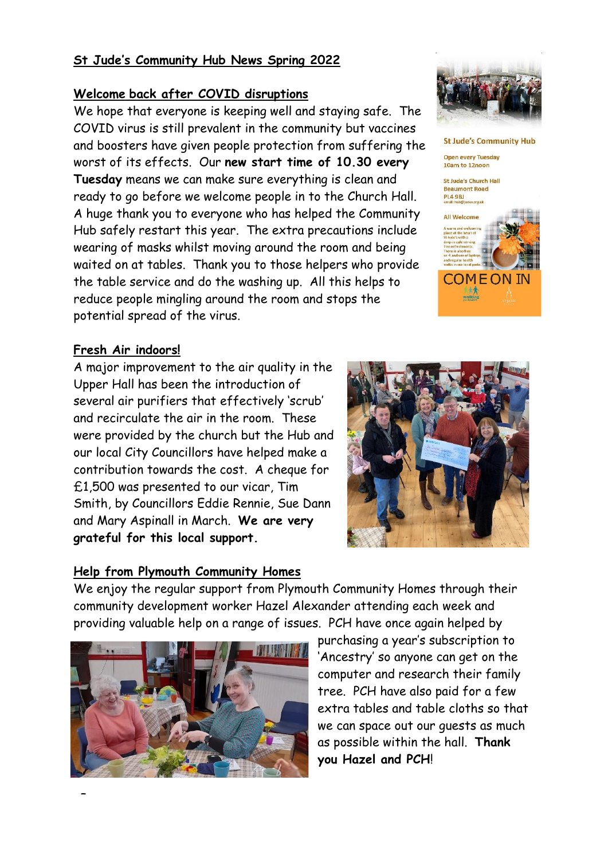### **St Jude's Community Hub News Spring 2022**

#### **Welcome back after COVID disruptions**

We hope that everyone is keeping well and staying safe. The COVID virus is still prevalent in the community but vaccines and boosters have given people protection from suffering the worst of its effects. Our **new start time of 10.30 every Tuesday** means we can make sure everything is clean and ready to go before we welcome people in to the Church Hall. A huge thank you to everyone who has helped the Community Hub safely restart this year. The extra precautions include wearing of masks whilst moving around the room and being waited on at tables. Thank you to those helpers who provide the table service and do the washing up. All this helps to reduce people mingling around the room and stops the potential spread of the virus.

#### **Fresh Air indoors!**

A major improvement to the air quality in the Upper Hall has been the introduction of several air purifiers that effectively 'scrub' and recirculate the air in the room. These were provided by the church but the Hub and our local City Councillors have helped make a contribution towards the cost. A cheque for £1,500 was presented to our vicar, Tim Smith, by Councillors Eddie Rennie, Sue Dann and Mary Aspinall in March. **We are very grateful for this local support.**



#### **Help from Plymouth Community Homes**

We enjoy the regular support from Plymouth Community Homes through their community development worker Hazel Alexander attending each week and providing valuable help on a range of issues. PCH have once again helped by



purchasing a year's subscription to 'Ancestry' so anyone can get on the computer and research their family tree. PCH have also paid for a few extra tables and table cloths so that we can space out our guests as much as possible within the hall. **Thank you Hazel and PCH**!



**St Jude's Community Hub** 

**COME ON IN** 

 $A$ 

**Open every Tuesday** 10am to 12noon

St Jude's Church Hall **Beaumont Road** PL4 9BJ<br>email: hub@h

All Welcome